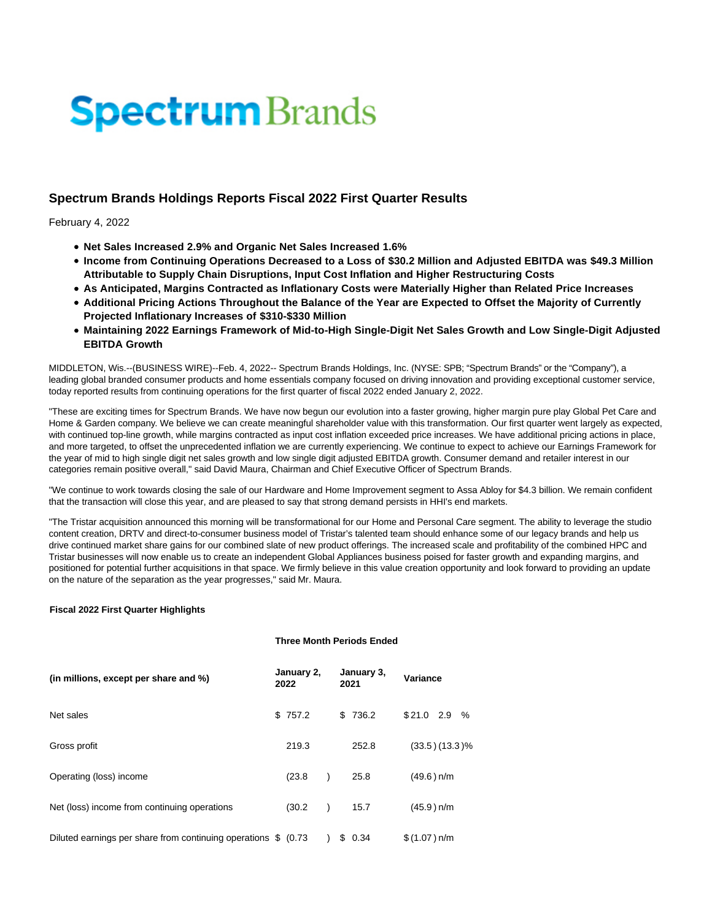# **Spectrum** Brands

# **Spectrum Brands Holdings Reports Fiscal 2022 First Quarter Results**

February 4, 2022

- **Net Sales Increased 2.9% and Organic Net Sales Increased 1.6%**
- **Income from Continuing Operations Decreased to a Loss of \$30.2 Million and Adjusted EBITDA was \$49.3 Million Attributable to Supply Chain Disruptions, Input Cost Inflation and Higher Restructuring Costs**
- **As Anticipated, Margins Contracted as Inflationary Costs were Materially Higher than Related Price Increases**
- **Additional Pricing Actions Throughout the Balance of the Year are Expected to Offset the Majority of Currently Projected Inflationary Increases of \$310-\$330 Million**
- **Maintaining 2022 Earnings Framework of Mid-to-High Single-Digit Net Sales Growth and Low Single-Digit Adjusted EBITDA Growth**

MIDDLETON, Wis.--(BUSINESS WIRE)--Feb. 4, 2022-- Spectrum Brands Holdings, Inc. (NYSE: SPB; "Spectrum Brands" or the "Company"), a leading global branded consumer products and home essentials company focused on driving innovation and providing exceptional customer service, today reported results from continuing operations for the first quarter of fiscal 2022 ended January 2, 2022.

"These are exciting times for Spectrum Brands. We have now begun our evolution into a faster growing, higher margin pure play Global Pet Care and Home & Garden company. We believe we can create meaningful shareholder value with this transformation. Our first quarter went largely as expected, with continued top-line growth, while margins contracted as input cost inflation exceeded price increases. We have additional pricing actions in place, and more targeted, to offset the unprecedented inflation we are currently experiencing. We continue to expect to achieve our Earnings Framework for the year of mid to high single digit net sales growth and low single digit adjusted EBITDA growth. Consumer demand and retailer interest in our categories remain positive overall," said David Maura, Chairman and Chief Executive Officer of Spectrum Brands.

"We continue to work towards closing the sale of our Hardware and Home Improvement segment to Assa Abloy for \$4.3 billion. We remain confident that the transaction will close this year, and are pleased to say that strong demand persists in HHI's end markets.

"The Tristar acquisition announced this morning will be transformational for our Home and Personal Care segment. The ability to leverage the studio content creation, DRTV and direct-to-consumer business model of Tristar's talented team should enhance some of our legacy brands and help us drive continued market share gains for our combined slate of new product offerings. The increased scale and profitability of the combined HPC and Tristar businesses will now enable us to create an independent Global Appliances business poised for faster growth and expanding margins, and positioned for potential further acquisitions in that space. We firmly believe in this value creation opportunity and look forward to providing an update on the nature of the separation as the year progresses," said Mr. Maura.

## **Fiscal 2022 First Quarter Highlights**

## **Three Month Periods Ended**

| (in millions, except per share and %)                           | January 2,<br>2022 |         |  | 2021 | January 3. | Variance |              |                  |  |
|-----------------------------------------------------------------|--------------------|---------|--|------|------------|----------|--------------|------------------|--|
| Net sales                                                       |                    | \$757.2 |  |      | \$736.2    |          |              | $$21.0$ 2.9 %    |  |
| Gross profit                                                    |                    | 219.3   |  |      | 252.8      |          |              | $(33.5)(13.3)\%$ |  |
| Operating (loss) income                                         |                    | (23.8)  |  |      | 25.8       |          | (49.6 ) n/m  |                  |  |
| Net (loss) income from continuing operations                    |                    | (30.2)  |  |      | 15.7       |          | (45.9) n/m   |                  |  |
| Diluted earnings per share from continuing operations \$ (0.73) |                    |         |  |      | \$0.34     |          | \$(1.07) n/m |                  |  |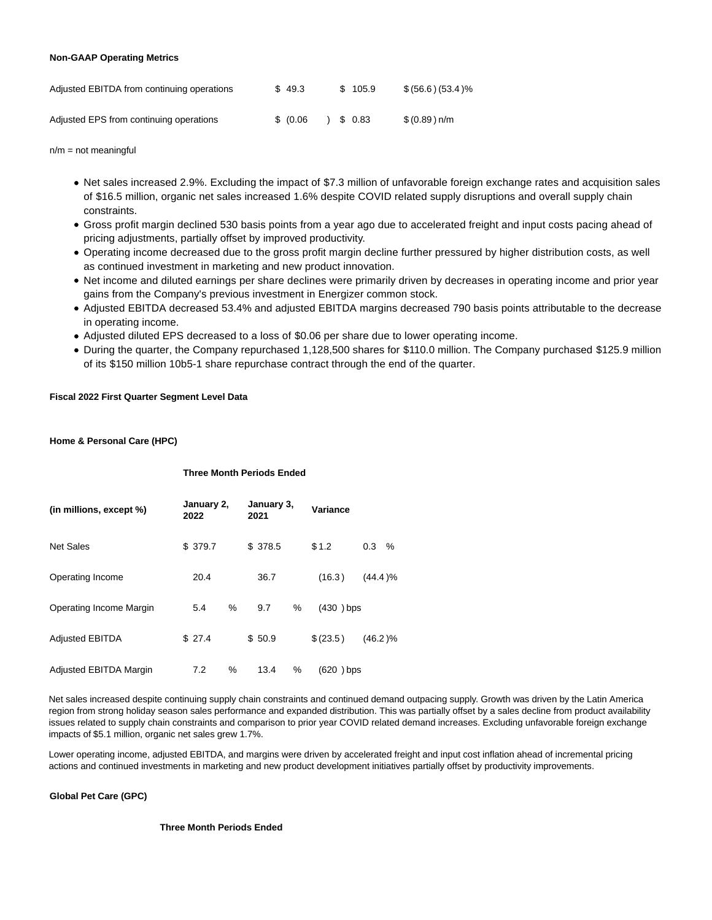### **Non-GAAP Operating Metrics**

| Adjusted EBITDA from continuing operations | \$49.3   | \$105.9 | $$ (56.6) (53.4)$ % |
|--------------------------------------------|----------|---------|---------------------|
| Adjusted EPS from continuing operations    | \$ (0.06 | \$ 0.83 | \$(0.89) n/m        |

 $n/m = not meaningful$ 

- Net sales increased 2.9%. Excluding the impact of \$7.3 million of unfavorable foreign exchange rates and acquisition sales of \$16.5 million, organic net sales increased 1.6% despite COVID related supply disruptions and overall supply chain constraints.
- Gross profit margin declined 530 basis points from a year ago due to accelerated freight and input costs pacing ahead of pricing adjustments, partially offset by improved productivity.
- Operating income decreased due to the gross profit margin decline further pressured by higher distribution costs, as well as continued investment in marketing and new product innovation.
- Net income and diluted earnings per share declines were primarily driven by decreases in operating income and prior year gains from the Company's previous investment in Energizer common stock.
- Adjusted EBITDA decreased 53.4% and adjusted EBITDA margins decreased 790 basis points attributable to the decrease in operating income.
- Adjusted diluted EPS decreased to a loss of \$0.06 per share due to lower operating income.
- During the quarter, the Company repurchased 1,128,500 shares for \$110.0 million. The Company purchased \$125.9 million of its \$150 million 10b5-1 share repurchase contract through the end of the quarter.

## **Fiscal 2022 First Quarter Segment Level Data**

## **Home & Personal Care (HPC)**

|                         |                    | <b>Three Month Periods Ended</b> |  |                    |   |             |         |            |  |  |  |
|-------------------------|--------------------|----------------------------------|--|--------------------|---|-------------|---------|------------|--|--|--|
| (in millions, except %) | January 2,<br>2022 |                                  |  | January 3,<br>2021 |   | Variance    |         |            |  |  |  |
| <b>Net Sales</b>        | \$379.7            |                                  |  | \$ 378.5           |   | \$1.2       | $0.3\%$ |            |  |  |  |
| Operating Income        | 20.4               |                                  |  | 36.7               |   | (16.3)      |         | (44.4)%    |  |  |  |
| Operating Income Margin | 5.4                | $\%$                             |  | 9.7                | ℅ | $(430)$ bps |         |            |  |  |  |
| <b>Adjusted EBITDA</b>  | \$27.4             |                                  |  | \$50.9             |   | \$(23.5)    |         | $(46.2)\%$ |  |  |  |
| Adjusted EBITDA Margin  | 7.2                | ℅                                |  | 13.4               | % | (620 ) bps  |         |            |  |  |  |

Net sales increased despite continuing supply chain constraints and continued demand outpacing supply. Growth was driven by the Latin America region from strong holiday season sales performance and expanded distribution. This was partially offset by a sales decline from product availability issues related to supply chain constraints and comparison to prior year COVID related demand increases. Excluding unfavorable foreign exchange impacts of \$5.1 million, organic net sales grew 1.7%.

Lower operating income, adjusted EBITDA, and margins were driven by accelerated freight and input cost inflation ahead of incremental pricing actions and continued investments in marketing and new product development initiatives partially offset by productivity improvements.

## **Global Pet Care (GPC)**

## **Three Month Periods Ended**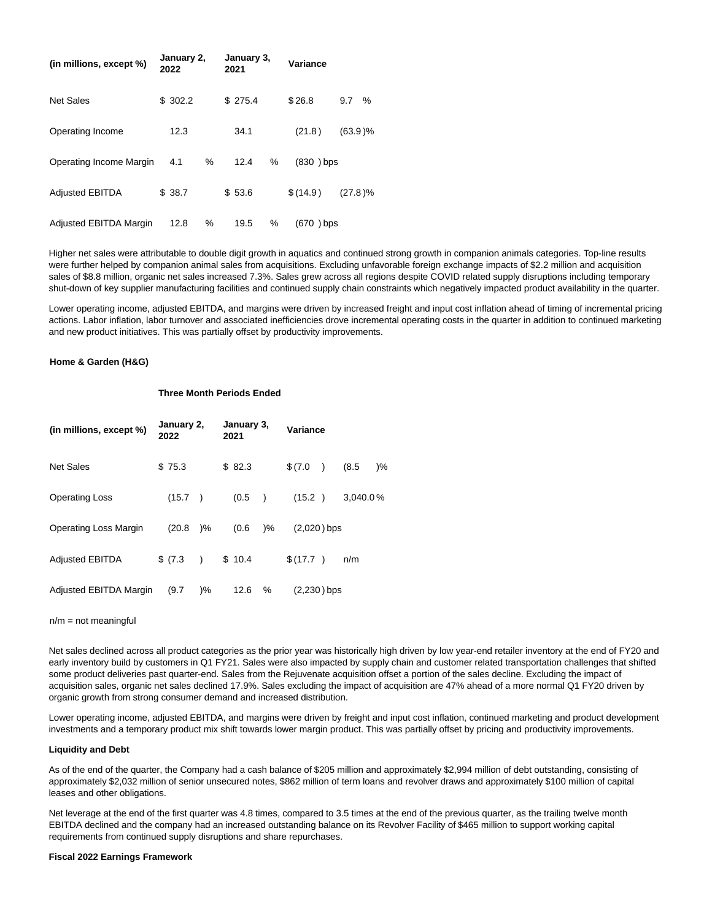| (in millions, except %) | January 2,<br>2022 |   | January 3,<br>2021 |   | Variance    |                   |  |
|-------------------------|--------------------|---|--------------------|---|-------------|-------------------|--|
| <b>Net Sales</b>        | \$302.2            |   | \$275.4            |   | \$26.8      | $9.7 \frac{9}{6}$ |  |
| Operating Income        | 12.3               |   | 34.1               |   | (21.8)      | $(63.9)$ %        |  |
| Operating Income Margin | 4.1                | % | 12.4               | ℅ | $(830)$ bps |                   |  |
| <b>Adjusted EBITDA</b>  | \$38.7             |   | \$53.6             |   | \$(14.9)    | (27.8)%           |  |
| Adjusted EBITDA Margin  | 12.8               | ℅ | 19.5               | ℅ | $(670)$ bps |                   |  |

Higher net sales were attributable to double digit growth in aquatics and continued strong growth in companion animals categories. Top-line results were further helped by companion animal sales from acquisitions. Excluding unfavorable foreign exchange impacts of \$2.2 million and acquisition sales of \$8.8 million, organic net sales increased 7.3%. Sales grew across all regions despite COVID related supply disruptions including temporary shut-down of key supplier manufacturing facilities and continued supply chain constraints which negatively impacted product availability in the quarter.

Lower operating income, adjusted EBITDA, and margins were driven by increased freight and input cost inflation ahead of timing of incremental pricing actions. Labor inflation, labor turnover and associated inefficiencies drove incremental operating costs in the quarter in addition to continued marketing and new product initiatives. This was partially offset by productivity improvements.

#### **Home & Garden (H&G)**

### **Three Month Periods Ended**

| (in millions, except %)      | January 2,<br>2022 |               | January 3,<br>2021 |               | Variance      |               |          |               |
|------------------------------|--------------------|---------------|--------------------|---------------|---------------|---------------|----------|---------------|
| <b>Net Sales</b>             | \$75.3             |               | \$82.3             |               | \$(7.0)       | $\rightarrow$ | (8.5)    | $\frac{9}{6}$ |
| <b>Operating Loss</b>        | (15.7)             | $\rightarrow$ | (0.5)              | $\rightarrow$ | (15.2)        |               | 3,040.0% |               |
| <b>Operating Loss Margin</b> | (20.8)             | $\frac{9}{6}$ | (0.6)              | $\frac{9}{6}$ | $(2,020)$ bps |               |          |               |
| <b>Adjusted EBITDA</b>       | \$(7.3)            | $\lambda$     | \$10.4             |               | \$(17.7)      |               | n/m      |               |
| Adjusted EBITDA Margin       | (9.7)              | $\frac{9}{6}$ | 12.6               | %             | $(2,230)$ bps |               |          |               |

 $n/m = not meaningful$ 

Net sales declined across all product categories as the prior year was historically high driven by low year-end retailer inventory at the end of FY20 and early inventory build by customers in Q1 FY21. Sales were also impacted by supply chain and customer related transportation challenges that shifted some product deliveries past quarter-end. Sales from the Rejuvenate acquisition offset a portion of the sales decline. Excluding the impact of acquisition sales, organic net sales declined 17.9%. Sales excluding the impact of acquisition are 47% ahead of a more normal Q1 FY20 driven by organic growth from strong consumer demand and increased distribution.

Lower operating income, adjusted EBITDA, and margins were driven by freight and input cost inflation, continued marketing and product development investments and a temporary product mix shift towards lower margin product. This was partially offset by pricing and productivity improvements.

#### **Liquidity and Debt**

As of the end of the quarter, the Company had a cash balance of \$205 million and approximately \$2,994 million of debt outstanding, consisting of approximately \$2,032 million of senior unsecured notes, \$862 million of term loans and revolver draws and approximately \$100 million of capital leases and other obligations.

Net leverage at the end of the first quarter was 4.8 times, compared to 3.5 times at the end of the previous quarter, as the trailing twelve month EBITDA declined and the company had an increased outstanding balance on its Revolver Facility of \$465 million to support working capital requirements from continued supply disruptions and share repurchases.

#### **Fiscal 2022 Earnings Framework**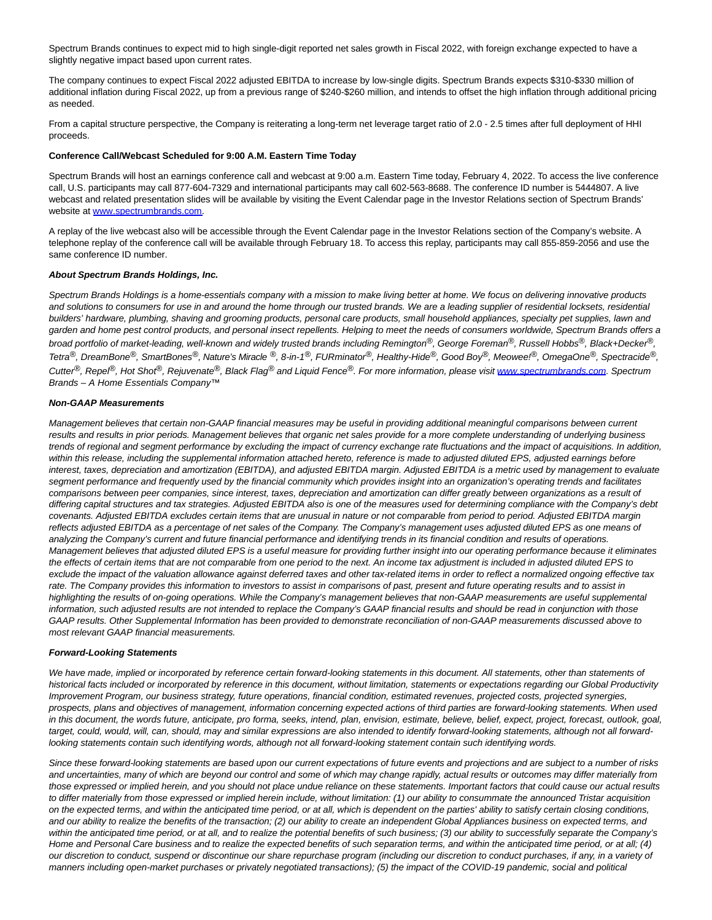Spectrum Brands continues to expect mid to high single-digit reported net sales growth in Fiscal 2022, with foreign exchange expected to have a slightly negative impact based upon current rates.

The company continues to expect Fiscal 2022 adjusted EBITDA to increase by low-single digits. Spectrum Brands expects \$310-\$330 million of additional inflation during Fiscal 2022, up from a previous range of \$240-\$260 million, and intends to offset the high inflation through additional pricing as needed.

From a capital structure perspective, the Company is reiterating a long-term net leverage target ratio of 2.0 - 2.5 times after full deployment of HHI proceeds.

#### **Conference Call/Webcast Scheduled for 9:00 A.M. Eastern Time Today**

Spectrum Brands will host an earnings conference call and webcast at 9:00 a.m. Eastern Time today, February 4, 2022. To access the live conference call, U.S. participants may call 877-604-7329 and international participants may call 602-563-8688. The conference ID number is 5444807. A live webcast and related presentation slides will be available by visiting the Event Calendar page in the Investor Relations section of Spectrum Brands' website at [www.spectrumbrands.com.](https://cts.businesswire.com/ct/CT?id=smartlink&url=http%3A%2F%2Fwww.spectrumbrands.com&esheet=52574117&newsitemid=20220203006026&lan=en-US&anchor=www.spectrumbrands.com&index=1&md5=6bfc509c8091253b1fbe7c4f1811f630)

A replay of the live webcast also will be accessible through the Event Calendar page in the Investor Relations section of the Company's website. A telephone replay of the conference call will be available through February 18. To access this replay, participants may call 855-859-2056 and use the same conference ID number.

#### **About Spectrum Brands Holdings, Inc.**

Spectrum Brands Holdings is a home-essentials company with a mission to make living better at home. We focus on delivering innovative products and solutions to consumers for use in and around the home through our trusted brands. We are a leading supplier of residential locksets, residential builders' hardware, plumbing, shaving and grooming products, personal care products, small household appliances, specialty pet supplies, lawn and garden and home pest control products, and personal insect repellents. Helping to meet the needs of consumers worldwide, Spectrum Brands offers a broad portfolio of market-leading, well-known and widely trusted brands including Remington®, George Foreman®, Russell Hobbs®, Black+Decker®, Tetra®, DreamBone®, SmartBones®, Nature's Miracle ®, 8-in-1®, FURminator®, Healthy-Hide®, Good Boy®, Meowee!®, OmegaOne®, Spectracide®, Cutter<sup>®</sup>, Repel<sup>®</sup>, Hot Shot<sup>®</sup>, Rejuvenate®, Black Flag® and Liquid Fence®. For more information, please visit [www.spectrumbrands.com.](https://cts.businesswire.com/ct/CT?id=smartlink&url=http%3A%2F%2Fwww.spectrumbrands.com&esheet=52574117&newsitemid=20220203006026&lan=en-US&anchor=www.spectrumbrands.com&index=2&md5=c9667415183b6b60c2cd62523edaedc3) Spectrum Brands – A Home Essentials Company™

## **Non-GAAP Measurements**

Management believes that certain non-GAAP financial measures may be useful in providing additional meaningful comparisons between current results and results in prior periods. Management believes that organic net sales provide for a more complete understanding of underlying business trends of regional and segment performance by excluding the impact of currency exchange rate fluctuations and the impact of acquisitions. In addition, within this release, including the supplemental information attached hereto, reference is made to adjusted diluted EPS, adjusted earnings before interest, taxes, depreciation and amortization (EBITDA), and adjusted EBITDA margin. Adjusted EBITDA is a metric used by management to evaluate segment performance and frequently used by the financial community which provides insight into an organization's operating trends and facilitates comparisons between peer companies, since interest, taxes, depreciation and amortization can differ greatly between organizations as a result of differing capital structures and tax strategies. Adjusted EBITDA also is one of the measures used for determining compliance with the Company's debt covenants. Adjusted EBITDA excludes certain items that are unusual in nature or not comparable from period to period. Adjusted EBITDA margin reflects adjusted EBITDA as a percentage of net sales of the Company. The Company's management uses adjusted diluted EPS as one means of analyzing the Company's current and future financial performance and identifying trends in its financial condition and results of operations. Management believes that adjusted diluted EPS is a useful measure for providing further insight into our operating performance because it eliminates the effects of certain items that are not comparable from one period to the next. An income tax adjustment is included in adjusted diluted EPS to exclude the impact of the valuation allowance against deferred taxes and other tax-related items in order to reflect a normalized ongoing effective tax rate. The Company provides this information to investors to assist in comparisons of past, present and future operating results and to assist in highlighting the results of on-going operations. While the Company's management believes that non-GAAP measurements are useful supplemental information, such adjusted results are not intended to replace the Company's GAAP financial results and should be read in conjunction with those GAAP results. Other Supplemental Information has been provided to demonstrate reconciliation of non-GAAP measurements discussed above to most relevant GAAP financial measurements.

#### **Forward-Looking Statements**

We have made, implied or incorporated by reference certain forward-looking statements in this document. All statements, other than statements of historical facts included or incorporated by reference in this document, without limitation, statements or expectations regarding our Global Productivity Improvement Program, our business strategy, future operations, financial condition, estimated revenues, projected costs, projected synergies, prospects, plans and objectives of management, information concerning expected actions of third parties are forward-looking statements. When used in this document, the words future, anticipate, pro forma, seeks, intend, plan, envision, estimate, believe, belief, expect, project, forecast, outlook, goal, target, could, would, will, can, should, may and similar expressions are also intended to identify forward-looking statements, although not all forwardlooking statements contain such identifying words, although not all forward-looking statement contain such identifying words.

Since these forward-looking statements are based upon our current expectations of future events and projections and are subject to a number of risks and uncertainties, many of which are beyond our control and some of which may change rapidly, actual results or outcomes may differ materially from those expressed or implied herein, and you should not place undue reliance on these statements. Important factors that could cause our actual results to differ materially from those expressed or implied herein include, without limitation: (1) our ability to consummate the announced Tristar acquisition on the expected terms, and within the anticipated time period, or at all, which is dependent on the parties' ability to satisfy certain closing conditions, and our ability to realize the benefits of the transaction; (2) our ability to create an independent Global Appliances business on expected terms, and within the anticipated time period, or at all, and to realize the potential benefits of such business; (3) our ability to successfully separate the Company's Home and Personal Care business and to realize the expected benefits of such separation terms, and within the anticipated time period, or at all; (4) our discretion to conduct, suspend or discontinue our share repurchase program (including our discretion to conduct purchases, if any, in a variety of manners including open-market purchases or privately negotiated transactions); (5) the impact of the COVID-19 pandemic, social and political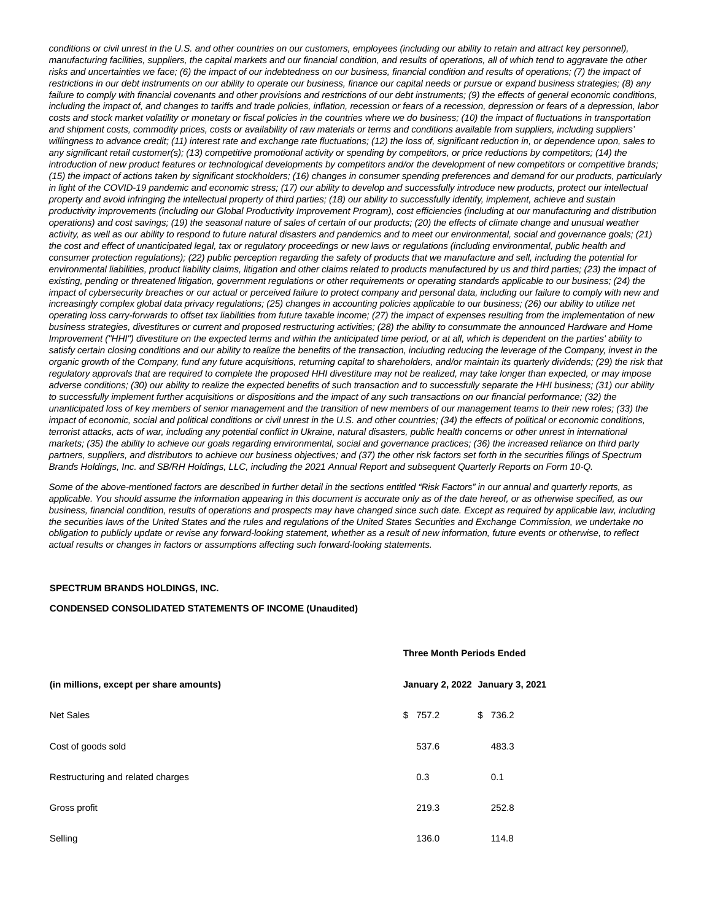conditions or civil unrest in the U.S. and other countries on our customers, employees (including our ability to retain and attract key personnel), manufacturing facilities, suppliers, the capital markets and our financial condition, and results of operations, all of which tend to aggravate the other risks and uncertainties we face; (6) the impact of our indebtedness on our business, financial condition and results of operations; (7) the impact of restrictions in our debt instruments on our ability to operate our business, finance our capital needs or pursue or expand business strategies; (8) any failure to comply with financial covenants and other provisions and restrictions of our debt instruments; (9) the effects of general economic conditions, including the impact of, and changes to tariffs and trade policies, inflation, recession or fears of a recession, depression or fears of a depression, labor costs and stock market volatility or monetary or fiscal policies in the countries where we do business; (10) the impact of fluctuations in transportation and shipment costs, commodity prices, costs or availability of raw materials or terms and conditions available from suppliers, including suppliers' willingness to advance credit; (11) interest rate and exchange rate fluctuations; (12) the loss of, significant reduction in, or dependence upon, sales to any significant retail customer(s); (13) competitive promotional activity or spending by competitors, or price reductions by competitors; (14) the introduction of new product features or technological developments by competitors and/or the development of new competitors or competitive brands; (15) the impact of actions taken by significant stockholders; (16) changes in consumer spending preferences and demand for our products, particularly in light of the COVID-19 pandemic and economic stress; (17) our ability to develop and successfully introduce new products, protect our intellectual property and avoid infringing the intellectual property of third parties; (18) our ability to successfully identify, implement, achieve and sustain productivity improvements (including our Global Productivity Improvement Program), cost efficiencies (including at our manufacturing and distribution operations) and cost savings; (19) the seasonal nature of sales of certain of our products; (20) the effects of climate change and unusual weather activity, as well as our ability to respond to future natural disasters and pandemics and to meet our environmental, social and governance goals; (21) the cost and effect of unanticipated legal, tax or regulatory proceedings or new laws or regulations (including environmental, public health and consumer protection regulations); (22) public perception regarding the safety of products that we manufacture and sell, including the potential for environmental liabilities, product liability claims, litigation and other claims related to products manufactured by us and third parties; (23) the impact of existing, pending or threatened litigation, government regulations or other requirements or operating standards applicable to our business; (24) the impact of cybersecurity breaches or our actual or perceived failure to protect company and personal data, including our failure to comply with new and increasingly complex global data privacy regulations; (25) changes in accounting policies applicable to our business; (26) our ability to utilize net operating loss carry-forwards to offset tax liabilities from future taxable income; (27) the impact of expenses resulting from the implementation of new business strategies, divestitures or current and proposed restructuring activities; (28) the ability to consummate the announced Hardware and Home Improvement ("HHI") divestiture on the expected terms and within the anticipated time period, or at all, which is dependent on the parties' ability to satisfy certain closing conditions and our ability to realize the benefits of the transaction, including reducing the leverage of the Company, invest in the organic growth of the Company, fund any future acquisitions, returning capital to shareholders, and/or maintain its quarterly dividends; (29) the risk that regulatory approvals that are required to complete the proposed HHI divestiture may not be realized, may take longer than expected, or may impose adverse conditions; (30) our ability to realize the expected benefits of such transaction and to successfully separate the HHI business; (31) our ability to successfully implement further acquisitions or dispositions and the impact of any such transactions on our financial performance; (32) the unanticipated loss of key members of senior management and the transition of new members of our management teams to their new roles; (33) the impact of economic, social and political conditions or civil unrest in the U.S. and other countries; (34) the effects of political or economic conditions, terrorist attacks, acts of war, including any potential conflict in Ukraine, natural disasters, public health concerns or other unrest in international markets; (35) the ability to achieve our goals regarding environmental, social and governance practices; (36) the increased reliance on third party partners, suppliers, and distributors to achieve our business objectives; and (37) the other risk factors set forth in the securities filings of Spectrum Brands Holdings, Inc. and SB/RH Holdings, LLC, including the 2021 Annual Report and subsequent Quarterly Reports on Form 10-Q.

Some of the above-mentioned factors are described in further detail in the sections entitled "Risk Factors" in our annual and quarterly reports, as applicable. You should assume the information appearing in this document is accurate only as of the date hereof, or as otherwise specified, as our business, financial condition, results of operations and prospects may have changed since such date. Except as required by applicable law, including the securities laws of the United States and the rules and regulations of the United States Securities and Exchange Commission, we undertake no obligation to publicly update or revise any forward-looking statement, whether as a result of new information, future events or otherwise, to reflect actual results or changes in factors or assumptions affecting such forward-looking statements.

## **SPECTRUM BRANDS HOLDINGS, INC.**

## **CONDENSED CONSOLIDATED STATEMENTS OF INCOME (Unaudited)**

|                                         | <b>Three Month Periods Ended</b> |                                 |  |         |  |  |
|-----------------------------------------|----------------------------------|---------------------------------|--|---------|--|--|
| (in millions, except per share amounts) |                                  | January 2, 2022 January 3, 2021 |  |         |  |  |
| <b>Net Sales</b>                        |                                  | \$757.2                         |  | \$736.2 |  |  |
| Cost of goods sold                      |                                  | 537.6                           |  | 483.3   |  |  |
| Restructuring and related charges       |                                  | 0.3                             |  | 0.1     |  |  |
| Gross profit                            |                                  | 219.3                           |  | 252.8   |  |  |
| Selling                                 |                                  | 136.0                           |  | 114.8   |  |  |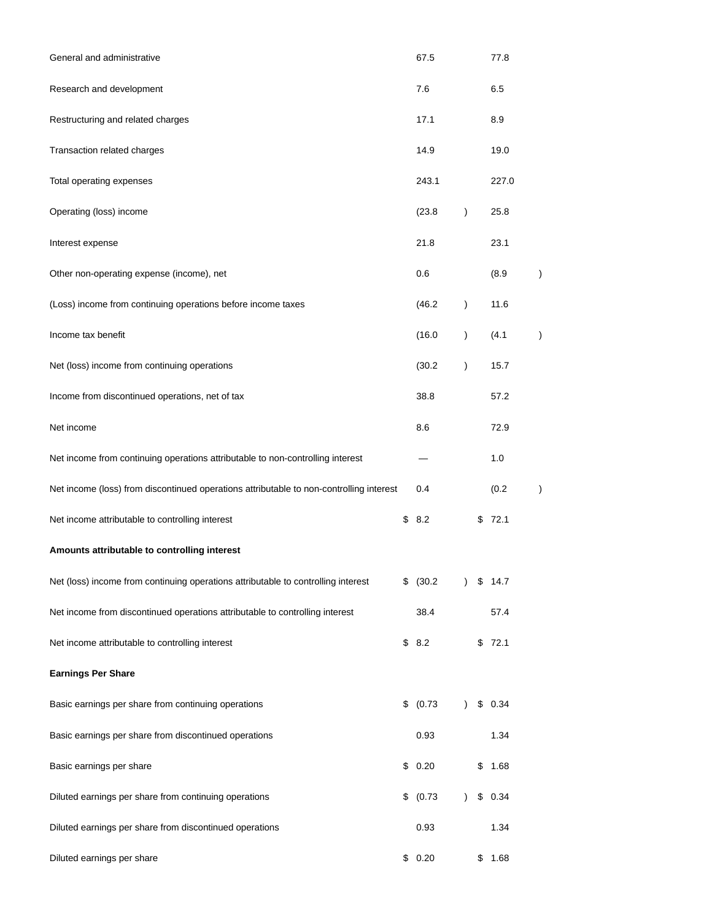| General and administrative                                                              | 67.5         |               | 77.8       |               |
|-----------------------------------------------------------------------------------------|--------------|---------------|------------|---------------|
| Research and development                                                                | 7.6          |               | 6.5        |               |
| Restructuring and related charges                                                       | 17.1         |               | 8.9        |               |
| Transaction related charges                                                             | 14.9         |               | 19.0       |               |
| Total operating expenses                                                                | 243.1        |               | 227.0      |               |
| Operating (loss) income                                                                 | (23.8)       | $\mathcal{E}$ | 25.8       |               |
| Interest expense                                                                        | 21.8         |               | 23.1       |               |
| Other non-operating expense (income), net                                               | 0.6          |               | (8.9)      | $\mathcal{L}$ |
| (Loss) income from continuing operations before income taxes                            | (46.2)       | $\lambda$     | 11.6       |               |
| Income tax benefit                                                                      | (16.0)       | $\lambda$     | (4.1)      | $\mathcal{L}$ |
| Net (loss) income from continuing operations                                            | (30.2)       | $\mathcal{E}$ | 15.7       |               |
| Income from discontinued operations, net of tax                                         | 38.8         |               | 57.2       |               |
| Net income                                                                              | 8.6          |               | 72.9       |               |
| Net income from continuing operations attributable to non-controlling interest          |              |               | 1.0        |               |
| Net income (loss) from discontinued operations attributable to non-controlling interest | 0.4          |               | (0.2)      | $\mathcal{L}$ |
| Net income attributable to controlling interest                                         | \$<br>8.2    |               | \$<br>72.1 |               |
| Amounts attributable to controlling interest                                            |              |               |            |               |
| Net (loss) income from continuing operations attributable to controlling interest       | \$<br>(30.2) | $\lambda$     | \$14.7     |               |
| Net income from discontinued operations attributable to controlling interest            | 38.4         |               | 57.4       |               |
| Net income attributable to controlling interest                                         | \$<br>8.2    |               | \$<br>72.1 |               |
| <b>Earnings Per Share</b>                                                               |              |               |            |               |
| Basic earnings per share from continuing operations                                     | \$<br>(0.73) | $\mathcal{L}$ | \$0.34     |               |
| Basic earnings per share from discontinued operations                                   | 0.93         |               | 1.34       |               |
| Basic earnings per share                                                                | \$<br>0.20   |               | \$<br>1.68 |               |
| Diluted earnings per share from continuing operations                                   | \$<br>(0.73) | $\mathcal{L}$ | \$<br>0.34 |               |
| Diluted earnings per share from discontinued operations                                 | 0.93         |               | 1.34       |               |
| Diluted earnings per share                                                              | \$0.20       |               | \$1.68     |               |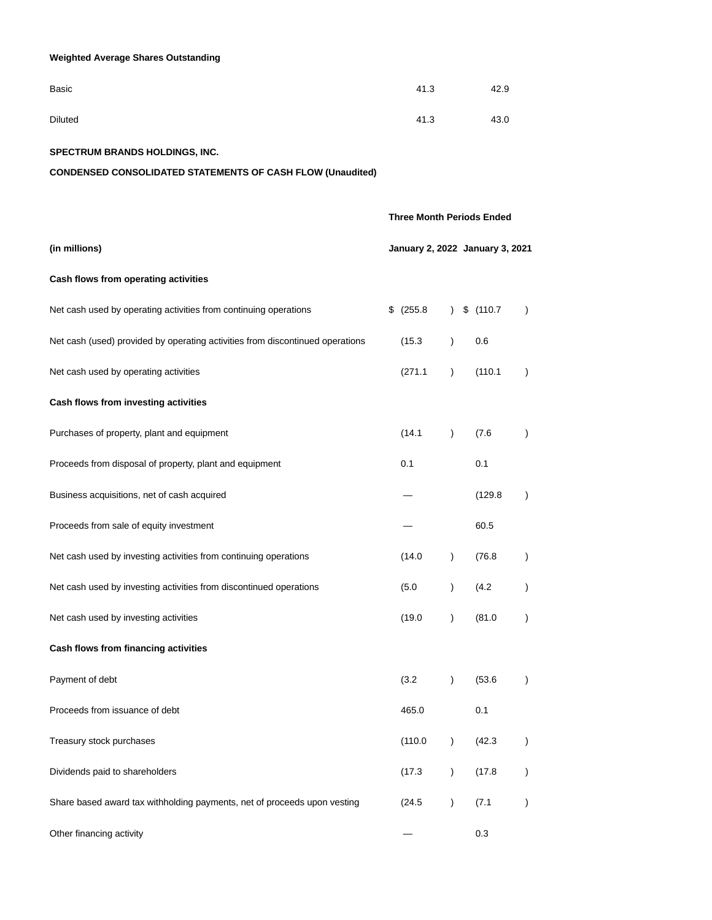# **Weighted Average Shares Outstanding**

| Basic          | 41.3 | 42.9 |
|----------------|------|------|
| <b>Diluted</b> | 41.3 | 43.0 |

# **SPECTRUM BRANDS HOLDINGS, INC.**

# **CONDENSED CONSOLIDATED STATEMENTS OF CASH FLOW (Unaudited)**

|                                                                               | <b>Three Month Periods Ended</b> |               |           |               |
|-------------------------------------------------------------------------------|----------------------------------|---------------|-----------|---------------|
| (in millions)                                                                 | January 2, 2022 January 3, 2021  |               |           |               |
| Cash flows from operating activities                                          |                                  |               |           |               |
| Net cash used by operating activities from continuing operations              | \$ (255.8)                       | $\mathcal{L}$ | \$(110.7) | $\lambda$     |
| Net cash (used) provided by operating activities from discontinued operations | (15.3)                           | $\lambda$     | 0.6       |               |
| Net cash used by operating activities                                         | (271.1)                          | $\mathcal{L}$ | (110.1)   | $\lambda$     |
| Cash flows from investing activities                                          |                                  |               |           |               |
| Purchases of property, plant and equipment                                    | (14.1)                           | $\lambda$     | (7.6)     | $\mathcal{E}$ |
| Proceeds from disposal of property, plant and equipment                       | 0.1                              |               | 0.1       |               |
| Business acquisitions, net of cash acquired                                   |                                  |               | (129.8)   | $\lambda$     |
| Proceeds from sale of equity investment                                       |                                  |               | 60.5      |               |
| Net cash used by investing activities from continuing operations              | (14.0)                           | $\lambda$     | (76.8)    | $\mathcal{C}$ |
| Net cash used by investing activities from discontinued operations            | (5.0)                            | $\lambda$     | (4.2)     | $\mathcal{E}$ |
| Net cash used by investing activities                                         | (19.0)                           | $\lambda$     | (81.0)    | $\mathcal{E}$ |
| Cash flows from financing activities                                          |                                  |               |           |               |
| Payment of debt                                                               | (3.2)                            | $\lambda$     | (53.6)    | $\lambda$     |
| Proceeds from issuance of debt                                                | 465.0                            |               | 0.1       |               |
| Treasury stock purchases                                                      | (110.0)                          | $\lambda$     | (42.3)    | $\mathcal{E}$ |
| Dividends paid to shareholders                                                | (17.3)                           | $\mathcal{E}$ | (17.8)    | $\mathcal{L}$ |
| Share based award tax withholding payments, net of proceeds upon vesting      | (24.5)                           | $\mathcal{L}$ | (7.1)     | $\mathcal{E}$ |
| Other financing activity                                                      |                                  |               | 0.3       |               |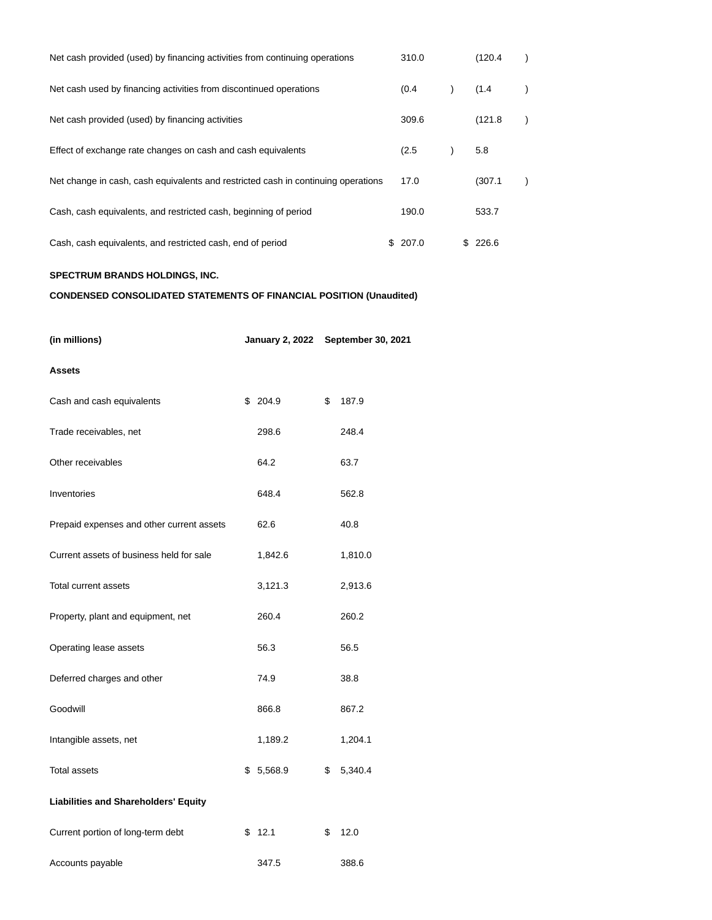| Net cash provided (used) by financing activities from continuing operations       |     | 310.0 | (120.4) |  |
|-----------------------------------------------------------------------------------|-----|-------|---------|--|
| Net cash used by financing activities from discontinued operations                |     | (0.4) | (1.4)   |  |
| Net cash provided (used) by financing activities                                  |     | 309.6 | (121.8) |  |
| Effect of exchange rate changes on cash and cash equivalents                      |     | (2.5) | 5.8     |  |
| Net change in cash, cash equivalents and restricted cash in continuing operations |     | 17.0  | (307.1) |  |
| Cash, cash equivalents, and restricted cash, beginning of period                  |     | 190.0 | 533.7   |  |
| Cash, cash equivalents, and restricted cash, end of period                        | SS. | 207.0 | 226.6   |  |

# **SPECTRUM BRANDS HOLDINGS, INC.**

# **CONDENSED CONSOLIDATED STATEMENTS OF FINANCIAL POSITION (Unaudited)**

| (in millions)                               |           | January 2, 2022 September 30, 2021 |
|---------------------------------------------|-----------|------------------------------------|
| <b>Assets</b>                               |           |                                    |
| Cash and cash equivalents                   | \$204.9   | \$<br>187.9                        |
| Trade receivables, net                      | 298.6     | 248.4                              |
| Other receivables                           | 64.2      | 63.7                               |
| Inventories                                 | 648.4     | 562.8                              |
| Prepaid expenses and other current assets   | 62.6      | 40.8                               |
| Current assets of business held for sale    | 1,842.6   | 1,810.0                            |
| Total current assets                        | 3,121.3   | 2,913.6                            |
| Property, plant and equipment, net          | 260.4     | 260.2                              |
| Operating lease assets                      | 56.3      | 56.5                               |
| Deferred charges and other                  | 74.9      | 38.8                               |
| Goodwill                                    | 866.8     | 867.2                              |
| Intangible assets, net                      | 1,189.2   | 1,204.1                            |
| <b>Total assets</b>                         | \$5,568.9 | \$<br>5,340.4                      |
| <b>Liabilities and Shareholders' Equity</b> |           |                                    |
| Current portion of long-term debt           | \$12.1    | \$<br>12.0                         |
| Accounts payable                            | 347.5     | 388.6                              |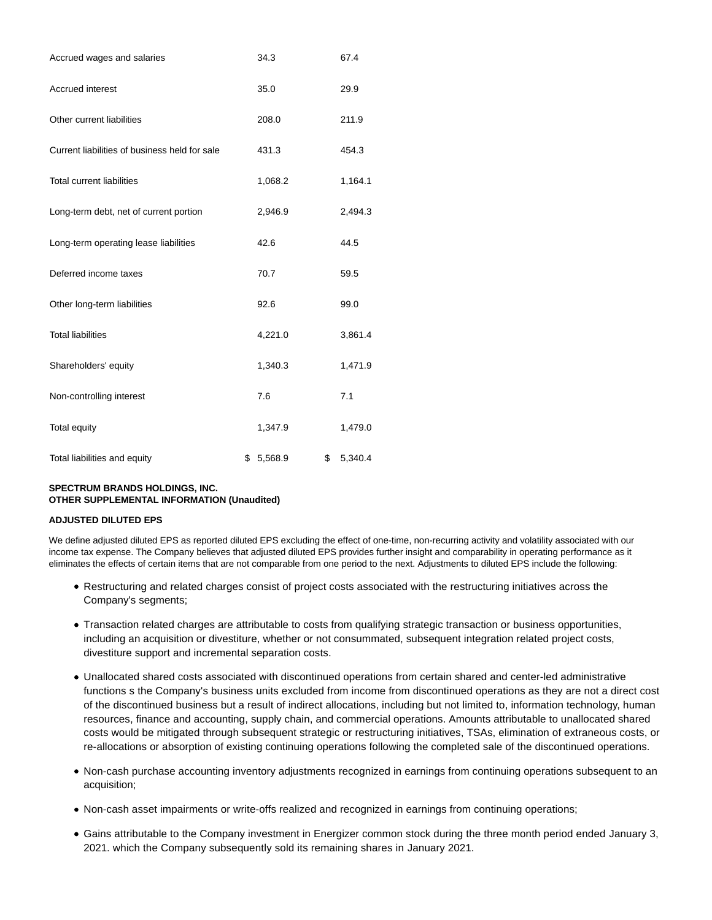| Accrued wages and salaries                    | 34.3      | 67.4          |
|-----------------------------------------------|-----------|---------------|
| <b>Accrued interest</b>                       | 35.0      | 29.9          |
| Other current liabilities                     | 208.0     | 211.9         |
| Current liabilities of business held for sale | 431.3     | 454.3         |
| <b>Total current liabilities</b>              | 1,068.2   | 1,164.1       |
| Long-term debt, net of current portion        | 2,946.9   | 2,494.3       |
| Long-term operating lease liabilities         | 42.6      | 44.5          |
| Deferred income taxes                         | 70.7      | 59.5          |
| Other long-term liabilities                   | 92.6      | 99.0          |
| <b>Total liabilities</b>                      | 4,221.0   | 3,861.4       |
| Shareholders' equity                          | 1,340.3   | 1,471.9       |
| Non-controlling interest                      | 7.6       | 7.1           |
| <b>Total equity</b>                           | 1,347.9   | 1,479.0       |
| Total liabilities and equity                  | \$5,568.9 | \$<br>5,340.4 |

## **SPECTRUM BRANDS HOLDINGS, INC. OTHER SUPPLEMENTAL INFORMATION (Unaudited)**

## **ADJUSTED DILUTED EPS**

We define adjusted diluted EPS as reported diluted EPS excluding the effect of one-time, non-recurring activity and volatility associated with our income tax expense. The Company believes that adjusted diluted EPS provides further insight and comparability in operating performance as it eliminates the effects of certain items that are not comparable from one period to the next. Adjustments to diluted EPS include the following:

- Restructuring and related charges consist of project costs associated with the restructuring initiatives across the Company's segments;
- Transaction related charges are attributable to costs from qualifying strategic transaction or business opportunities, including an acquisition or divestiture, whether or not consummated, subsequent integration related project costs, divestiture support and incremental separation costs.
- Unallocated shared costs associated with discontinued operations from certain shared and center-led administrative functions s the Company's business units excluded from income from discontinued operations as they are not a direct cost of the discontinued business but a result of indirect allocations, including but not limited to, information technology, human resources, finance and accounting, supply chain, and commercial operations. Amounts attributable to unallocated shared costs would be mitigated through subsequent strategic or restructuring initiatives, TSAs, elimination of extraneous costs, or re-allocations or absorption of existing continuing operations following the completed sale of the discontinued operations.
- Non-cash purchase accounting inventory adjustments recognized in earnings from continuing operations subsequent to an acquisition;
- Non-cash asset impairments or write-offs realized and recognized in earnings from continuing operations;
- Gains attributable to the Company investment in Energizer common stock during the three month period ended January 3, 2021. which the Company subsequently sold its remaining shares in January 2021.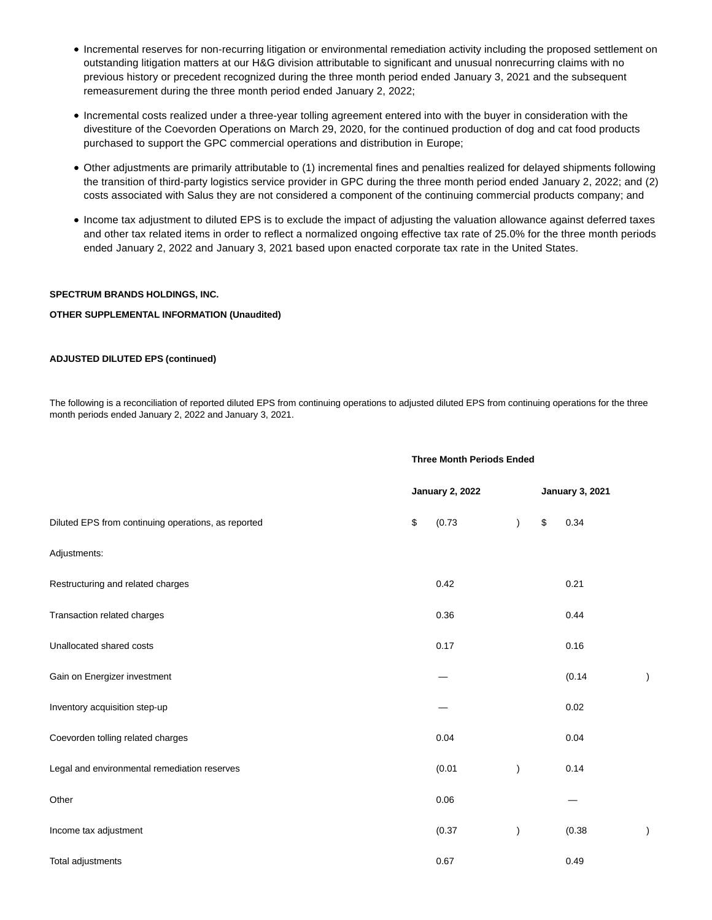- Incremental reserves for non-recurring litigation or environmental remediation activity including the proposed settlement on outstanding litigation matters at our H&G division attributable to significant and unusual nonrecurring claims with no previous history or precedent recognized during the three month period ended January 3, 2021 and the subsequent remeasurement during the three month period ended January 2, 2022;
- Incremental costs realized under a three-year tolling agreement entered into with the buyer in consideration with the divestiture of the Coevorden Operations on March 29, 2020, for the continued production of dog and cat food products purchased to support the GPC commercial operations and distribution in Europe;
- Other adjustments are primarily attributable to (1) incremental fines and penalties realized for delayed shipments following the transition of third-party logistics service provider in GPC during the three month period ended January 2, 2022; and (2) costs associated with Salus they are not considered a component of the continuing commercial products company; and
- Income tax adjustment to diluted EPS is to exclude the impact of adjusting the valuation allowance against deferred taxes and other tax related items in order to reflect a normalized ongoing effective tax rate of 25.0% for the three month periods ended January 2, 2022 and January 3, 2021 based upon enacted corporate tax rate in the United States.

## **SPECTRUM BRANDS HOLDINGS, INC.**

## **OTHER SUPPLEMENTAL INFORMATION (Unaudited)**

## **ADJUSTED DILUTED EPS (continued)**

The following is a reconciliation of reported diluted EPS from continuing operations to adjusted diluted EPS from continuing operations for the three month periods ended January 2, 2022 and January 3, 2021.

|                                                     | <b>Three Month Periods Ended</b> |                        |           |                        |  |
|-----------------------------------------------------|----------------------------------|------------------------|-----------|------------------------|--|
|                                                     |                                  | <b>January 2, 2022</b> |           | <b>January 3, 2021</b> |  |
| Diluted EPS from continuing operations, as reported | \$                               | (0.73)                 | $\lambda$ | \$<br>0.34             |  |
| Adjustments:                                        |                                  |                        |           |                        |  |
| Restructuring and related charges                   |                                  | 0.42                   |           | 0.21                   |  |
| Transaction related charges                         |                                  | 0.36                   |           | 0.44                   |  |
| Unallocated shared costs                            |                                  | 0.17                   |           | 0.16                   |  |
| Gain on Energizer investment                        |                                  |                        |           | (0.14)                 |  |
| Inventory acquisition step-up                       |                                  |                        |           | 0.02                   |  |
| Coevorden tolling related charges                   |                                  | 0.04                   |           | 0.04                   |  |
| Legal and environmental remediation reserves        |                                  | (0.01)                 | $\lambda$ | 0.14                   |  |
| Other                                               |                                  | 0.06                   |           |                        |  |
| Income tax adjustment                               |                                  | (0.37)                 | $\lambda$ | (0.38)                 |  |
| Total adjustments                                   |                                  | 0.67                   |           | 0.49                   |  |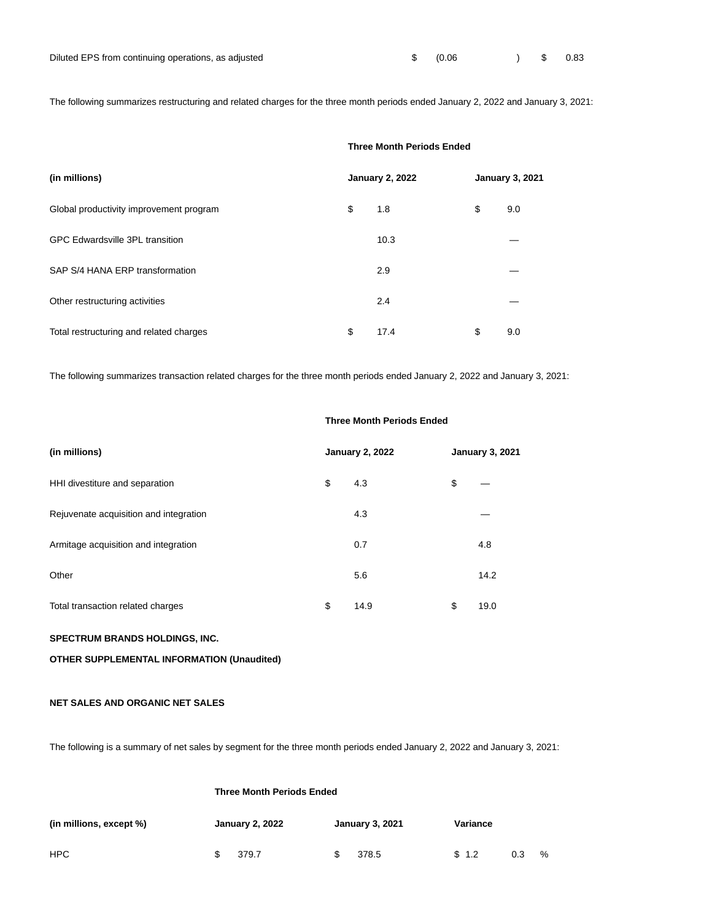| Diluted EPS from continuing operations, as adjusted | \$ 0.06 |  | $\frac{1}{2}$ \$ 0.83 |
|-----------------------------------------------------|---------|--|-----------------------|
|                                                     |         |  |                       |

The following summarizes restructuring and related charges for the three month periods ended January 2, 2022 and January 3, 2021:

|                                         |                        | <b>Three Month Periods Ended</b> |                        |     |  |  |  |  |
|-----------------------------------------|------------------------|----------------------------------|------------------------|-----|--|--|--|--|
| (in millions)                           | <b>January 2, 2022</b> |                                  | <b>January 3, 2021</b> |     |  |  |  |  |
| Global productivity improvement program | \$                     | 1.8                              | \$                     | 9.0 |  |  |  |  |
| <b>GPC Edwardsville 3PL transition</b>  |                        | 10.3                             |                        |     |  |  |  |  |
| SAP S/4 HANA ERP transformation         |                        | 2.9                              |                        |     |  |  |  |  |
| Other restructuring activities          |                        | 2.4                              |                        |     |  |  |  |  |
| Total restructuring and related charges | \$                     | 17.4                             | \$                     | 9.0 |  |  |  |  |

The following summarizes transaction related charges for the three month periods ended January 2, 2022 and January 3, 2021:

## **Three Month Periods Ended**

| (in millions)                          |    | <b>January 2, 2022</b> | <b>January 3, 2021</b> |      |  |
|----------------------------------------|----|------------------------|------------------------|------|--|
| HHI divestiture and separation         | \$ | 4.3                    | \$                     |      |  |
| Rejuvenate acquisition and integration |    | 4.3                    |                        |      |  |
| Armitage acquisition and integration   |    | 0.7                    |                        | 4.8  |  |
| Other                                  |    | 5.6                    |                        | 14.2 |  |
| Total transaction related charges      | \$ | 14.9                   | \$                     | 19.0 |  |

# **SPECTRUM BRANDS HOLDINGS, INC.**

**OTHER SUPPLEMENTAL INFORMATION (Unaudited)**

## **NET SALES AND ORGANIC NET SALES**

The following is a summary of net sales by segment for the three month periods ended January 2, 2022 and January 3, 2021:

|                         | <b>Three Month Periods Ended</b> |                        |                   |
|-------------------------|----------------------------------|------------------------|-------------------|
| (in millions, except %) | <b>January 2, 2022</b>           | <b>January 3, 2021</b> | Variance          |
| <b>HPC</b>              | 379.7                            | 378.5                  | %<br>\$1.2<br>0.3 |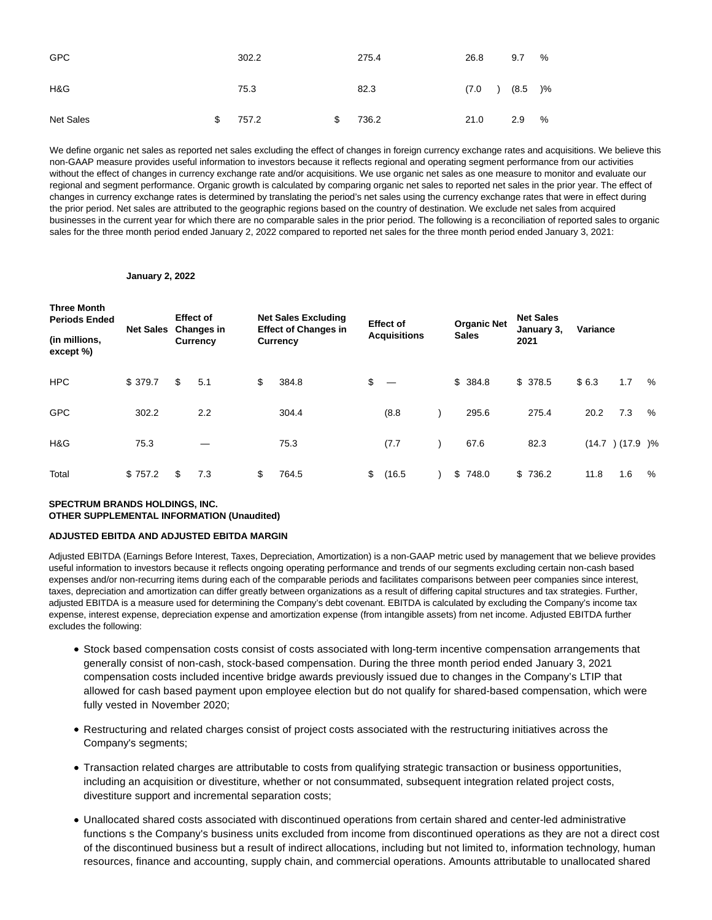| <b>GPC</b>       |   | 302.2 |     | 275.4 | 26.8  | 9.7           | % |
|------------------|---|-------|-----|-------|-------|---------------|---|
| H&G              |   | 75.3  |     | 82.3  | (7.0) | $(8.5)$ $)\%$ |   |
| <b>Net Sales</b> | S | 757.2 | \$. | 736.2 | 21.0  | 2.9           | % |

We define organic net sales as reported net sales excluding the effect of changes in foreign currency exchange rates and acquisitions. We believe this non-GAAP measure provides useful information to investors because it reflects regional and operating segment performance from our activities without the effect of changes in currency exchange rate and/or acquisitions. We use organic net sales as one measure to monitor and evaluate our regional and segment performance. Organic growth is calculated by comparing organic net sales to reported net sales in the prior year. The effect of changes in currency exchange rates is determined by translating the period's net sales using the currency exchange rates that were in effect during the prior period. Net sales are attributed to the geographic regions based on the country of destination. We exclude net sales from acquired businesses in the current year for which there are no comparable sales in the prior period. The following is a reconciliation of reported sales to organic sales for the three month period ended January 2, 2022 compared to reported net sales for the three month period ended January 3, 2021:

## **January 2, 2022**

| <b>Three Month</b><br><b>Periods Ended</b><br>(in millions,<br>except %) | Net Sales Changes in | <b>Effect of</b> | Currency | <b>Net Sales Excluding</b><br><b>Effect of Changes in</b><br>Currency | <b>Effect of</b><br><b>Acquisitions</b> | <b>Organic Net</b><br><b>Sales</b> | <b>Net Sales</b><br>January 3,<br>2021 | Variance |                  |   |
|--------------------------------------------------------------------------|----------------------|------------------|----------|-----------------------------------------------------------------------|-----------------------------------------|------------------------------------|----------------------------------------|----------|------------------|---|
| <b>HPC</b>                                                               | \$379.7              | \$               | 5.1      | \$<br>384.8                                                           | \$<br>$\hspace{0.1mm}-\hspace{0.1mm}$   | \$384.8                            | \$378.5                                | \$6.3    | 1.7              | % |
| <b>GPC</b>                                                               | 302.2                |                  | 2.2      | 304.4                                                                 | (8.8)                                   | 295.6                              | 275.4                                  | 20.2     | 7.3              | % |
| H&G                                                                      | 75.3                 |                  |          | 75.3                                                                  | (7.7)                                   | 67.6                               | 82.3                                   |          | $(14.7)(17.9)$ % |   |
| Total                                                                    | \$757.2              | \$               | 7.3      | \$<br>764.5                                                           | \$<br>(16.5)                            | \$<br>748.0                        | \$736.2                                | 11.8     | 1.6              | % |

## **SPECTRUM BRANDS HOLDINGS, INC. OTHER SUPPLEMENTAL INFORMATION (Unaudited)**

## **ADJUSTED EBITDA AND ADJUSTED EBITDA MARGIN**

Adjusted EBITDA (Earnings Before Interest, Taxes, Depreciation, Amortization) is a non-GAAP metric used by management that we believe provides useful information to investors because it reflects ongoing operating performance and trends of our segments excluding certain non-cash based expenses and/or non-recurring items during each of the comparable periods and facilitates comparisons between peer companies since interest, taxes, depreciation and amortization can differ greatly between organizations as a result of differing capital structures and tax strategies. Further, adjusted EBITDA is a measure used for determining the Company's debt covenant. EBITDA is calculated by excluding the Company's income tax expense, interest expense, depreciation expense and amortization expense (from intangible assets) from net income. Adjusted EBITDA further excludes the following:

- Stock based compensation costs consist of costs associated with long-term incentive compensation arrangements that generally consist of non-cash, stock-based compensation. During the three month period ended January 3, 2021 compensation costs included incentive bridge awards previously issued due to changes in the Company's LTIP that allowed for cash based payment upon employee election but do not qualify for shared-based compensation, which were fully vested in November 2020;
- Restructuring and related charges consist of project costs associated with the restructuring initiatives across the Company's segments;
- Transaction related charges are attributable to costs from qualifying strategic transaction or business opportunities, including an acquisition or divestiture, whether or not consummated, subsequent integration related project costs, divestiture support and incremental separation costs;
- Unallocated shared costs associated with discontinued operations from certain shared and center-led administrative functions s the Company's business units excluded from income from discontinued operations as they are not a direct cost of the discontinued business but a result of indirect allocations, including but not limited to, information technology, human resources, finance and accounting, supply chain, and commercial operations. Amounts attributable to unallocated shared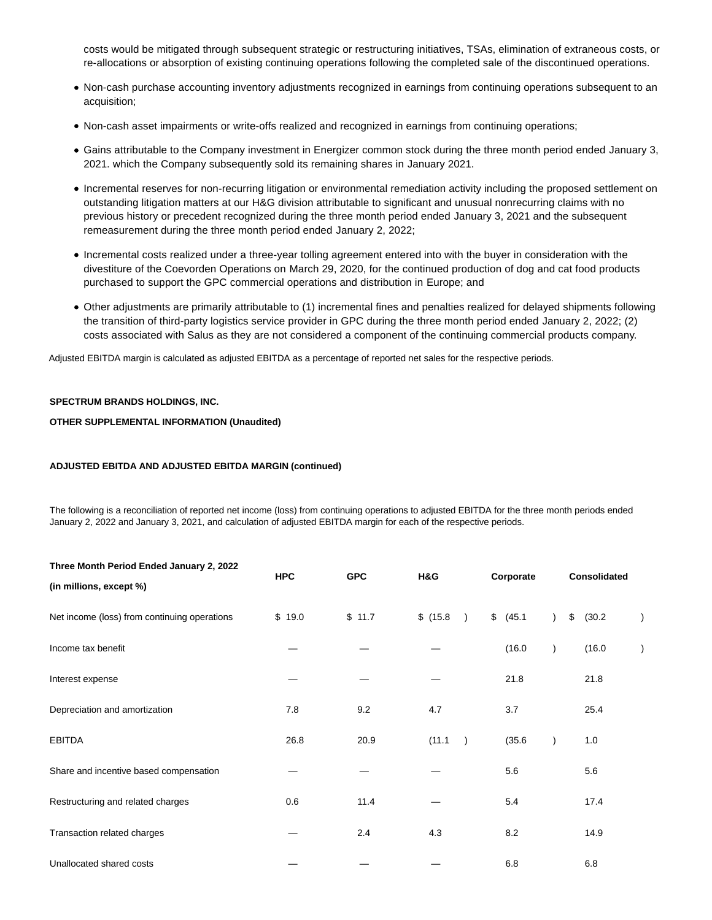costs would be mitigated through subsequent strategic or restructuring initiatives, TSAs, elimination of extraneous costs, or re-allocations or absorption of existing continuing operations following the completed sale of the discontinued operations.

- Non-cash purchase accounting inventory adjustments recognized in earnings from continuing operations subsequent to an acquisition;
- Non-cash asset impairments or write-offs realized and recognized in earnings from continuing operations;
- Gains attributable to the Company investment in Energizer common stock during the three month period ended January 3, 2021. which the Company subsequently sold its remaining shares in January 2021.
- Incremental reserves for non-recurring litigation or environmental remediation activity including the proposed settlement on outstanding litigation matters at our H&G division attributable to significant and unusual nonrecurring claims with no previous history or precedent recognized during the three month period ended January 3, 2021 and the subsequent remeasurement during the three month period ended January 2, 2022;
- Incremental costs realized under a three-year tolling agreement entered into with the buyer in consideration with the divestiture of the Coevorden Operations on March 29, 2020, for the continued production of dog and cat food products purchased to support the GPC commercial operations and distribution in Europe; and
- Other adjustments are primarily attributable to (1) incremental fines and penalties realized for delayed shipments following the transition of third-party logistics service provider in GPC during the three month period ended January 2, 2022; (2) costs associated with Salus as they are not considered a component of the continuing commercial products company.

Adjusted EBITDA margin is calculated as adjusted EBITDA as a percentage of reported net sales for the respective periods.

## **SPECTRUM BRANDS HOLDINGS, INC.**

## **OTHER SUPPLEMENTAL INFORMATION (Unaudited)**

## **ADJUSTED EBITDA AND ADJUSTED EBITDA MARGIN (continued)**

The following is a reconciliation of reported net income (loss) from continuing operations to adjusted EBITDA for the three month periods ended January 2, 2022 and January 3, 2021, and calculation of adjusted EBITDA margin for each of the respective periods.

| Three Month Period Ended January 2, 2022<br>(in millions, except %) | <b>HPC</b> | <b>GPC</b> | H&G                        | Corporate              | Consolidated |
|---------------------------------------------------------------------|------------|------------|----------------------------|------------------------|--------------|
| Net income (loss) from continuing operations                        | \$19.0     | \$11.7     | \$ (15.8)<br>$\rightarrow$ | \$ (45.1)<br>$\lambda$ | \$ (30.2)    |
| Income tax benefit                                                  |            |            |                            | (16.0)                 | (16.0)       |
| Interest expense                                                    |            |            |                            | 21.8                   | 21.8         |
| Depreciation and amortization                                       | 7.8        | 9.2        | 4.7                        | 3.7                    | 25.4         |
| <b>EBITDA</b>                                                       | 26.8       | 20.9       | (11.1)                     | (35.6)                 | 1.0          |
| Share and incentive based compensation                              |            |            |                            | 5.6                    | 5.6          |
| Restructuring and related charges                                   | 0.6        | 11.4       |                            | 5.4                    | 17.4         |
| Transaction related charges                                         |            | 2.4        | 4.3                        | 8.2                    | 14.9         |
| Unallocated shared costs                                            |            |            |                            | 6.8                    | 6.8          |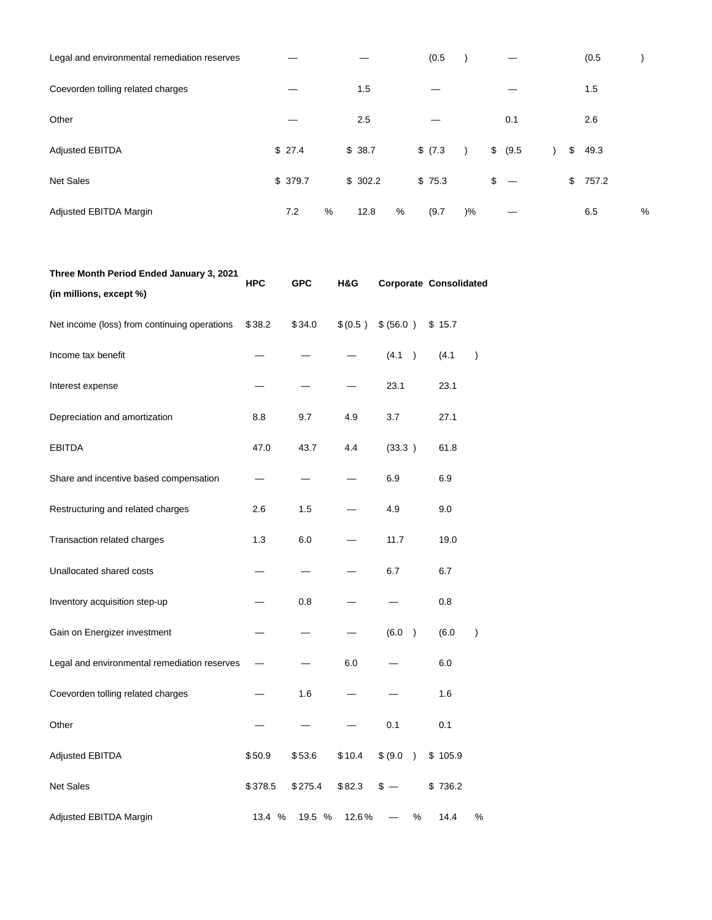| Legal and environmental remediation reserves |         |   |         |   | (0.5)    |               |                                |    | (0.5) |   |
|----------------------------------------------|---------|---|---------|---|----------|---------------|--------------------------------|----|-------|---|
| Coevorden tolling related charges            |         |   | 1.5     |   |          |               |                                |    | 1.5   |   |
| Other                                        |         |   | 2.5     |   |          |               | 0.1                            |    | 2.6   |   |
| <b>Adjusted EBITDA</b>                       | \$27.4  |   | \$38.7  |   | \$ (7.3) | $\rightarrow$ | \$ (9.5)                       | \$ | 49.3  |   |
| <b>Net Sales</b>                             | \$379.7 |   | \$302.2 |   | \$75.3   |               | \$<br>$\overline{\phantom{0}}$ | \$ | 757.2 |   |
| Adjusted EBITDA Margin                       | 7.2     | % | 12.8    | % | (9.7)    | $)\%$         |                                |    | 6.5   | % |

| Three Month Period Ended January 3, 2021<br>(in millions, except %) | HPC     | <b>GPC</b> | H&G     | <b>Corporate Consolidated</b>  |         |               |
|---------------------------------------------------------------------|---------|------------|---------|--------------------------------|---------|---------------|
| Net income (loss) from continuing operations                        | \$38.2  | \$34.0     | \$(0.5) | \$ (56.0 )                     | \$15.7  |               |
| Income tax benefit                                                  |         |            |         | (4.1)<br>$\rightarrow$         | (4.1)   | $\mathcal{E}$ |
| Interest expense                                                    |         |            |         | 23.1                           | 23.1    |               |
| Depreciation and amortization                                       | 8.8     | 9.7        | 4.9     | 3.7                            | 27.1    |               |
| EBITDA                                                              | 47.0    | 43.7       | 4.4     | (33.3)                         | 61.8    |               |
| Share and incentive based compensation                              |         |            |         | 6.9                            | 6.9     |               |
| Restructuring and related charges                                   | 2.6     | 1.5        |         | 4.9                            | 9.0     |               |
| Transaction related charges                                         | 1.3     | 6.0        |         | 11.7                           | 19.0    |               |
| Unallocated shared costs                                            |         |            |         | 6.7                            | 6.7     |               |
| Inventory acquisition step-up                                       |         | 0.8        |         |                                | 0.8     |               |
| Gain on Energizer investment                                        |         |            |         | (6.0)<br>$\rightarrow$         | (6.0)   | $\mathcal{E}$ |
| Legal and environmental remediation reserves                        |         |            | 6.0     |                                | 6.0     |               |
| Coevorden tolling related charges                                   |         | 1.6        |         |                                | 1.6     |               |
| Other                                                               |         |            |         | 0.1                            | 0.1     |               |
| Adjusted EBITDA                                                     | \$50.9  | \$53.6     | \$10.4  | \$ (9.0)<br>$\rightarrow$      | \$105.9 |               |
| <b>Net Sales</b>                                                    | \$378.5 | \$275.4    | \$82.3  | \$<br>$\overline{\phantom{a}}$ | \$736.2 |               |
| Adjusted EBITDA Margin                                              | 13.4 %  | 19.5 %     | 12.6%   | %                              | 14.4    | %             |